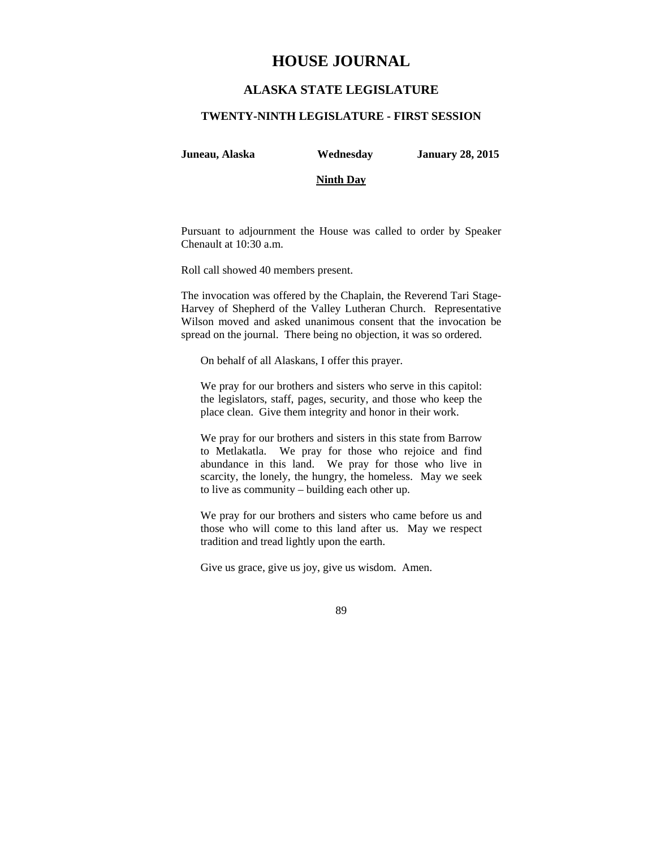# **HOUSE JOURNAL**

## **ALASKA STATE LEGISLATURE**

#### **TWENTY-NINTH LEGISLATURE - FIRST SESSION**

**Juneau, Alaska Wednesday January 28, 2015** 

#### **Ninth Day**

Pursuant to adjournment the House was called to order by Speaker Chenault at 10:30 a.m.

Roll call showed 40 members present.

The invocation was offered by the Chaplain, the Reverend Tari Stage-Harvey of Shepherd of the Valley Lutheran Church. Representative Wilson moved and asked unanimous consent that the invocation be spread on the journal. There being no objection, it was so ordered.

On behalf of all Alaskans, I offer this prayer.

We pray for our brothers and sisters who serve in this capitol: the legislators, staff, pages, security, and those who keep the place clean. Give them integrity and honor in their work.

We pray for our brothers and sisters in this state from Barrow to Metlakatla. We pray for those who rejoice and find abundance in this land. We pray for those who live in scarcity, the lonely, the hungry, the homeless. May we seek to live as community – building each other up.

We pray for our brothers and sisters who came before us and those who will come to this land after us. May we respect tradition and tread lightly upon the earth.

Give us grace, give us joy, give us wisdom. Amen.

89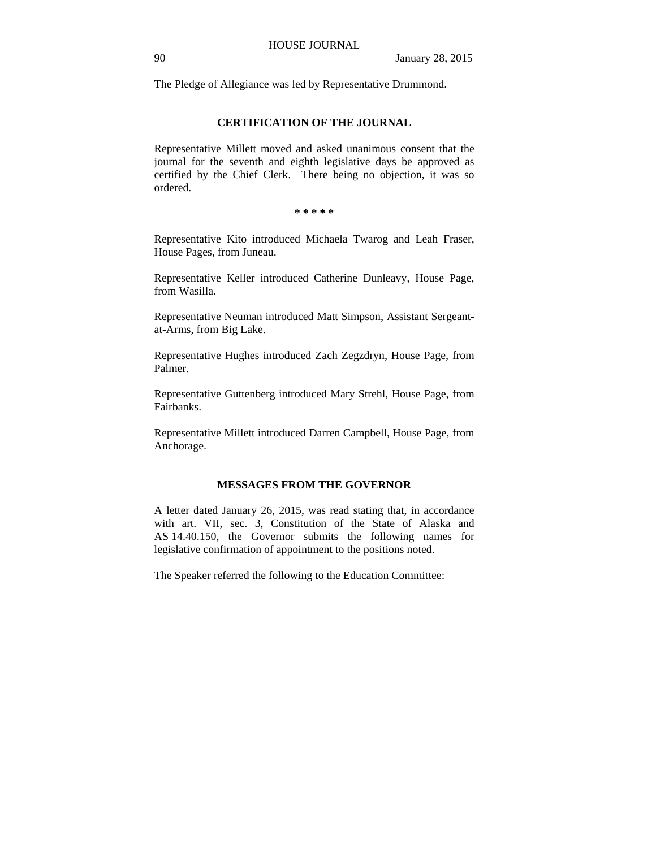The Pledge of Allegiance was led by Representative Drummond.

## **CERTIFICATION OF THE JOURNAL**

Representative Millett moved and asked unanimous consent that the journal for the seventh and eighth legislative days be approved as certified by the Chief Clerk. There being no objection, it was so ordered.

**\* \* \* \* \*** 

Representative Kito introduced Michaela Twarog and Leah Fraser, House Pages, from Juneau.

Representative Keller introduced Catherine Dunleavy, House Page, from Wasilla.

Representative Neuman introduced Matt Simpson, Assistant Sergeantat-Arms, from Big Lake.

Representative Hughes introduced Zach Zegzdryn, House Page, from Palmer.

Representative Guttenberg introduced Mary Strehl, House Page, from Fairbanks.

Representative Millett introduced Darren Campbell, House Page, from Anchorage.

## **MESSAGES FROM THE GOVERNOR**

A letter dated January 26, 2015, was read stating that, in accordance with art. VII, sec. 3, Constitution of the State of Alaska and AS 14.40.150, the Governor submits the following names for legislative confirmation of appointment to the positions noted.

The Speaker referred the following to the Education Committee: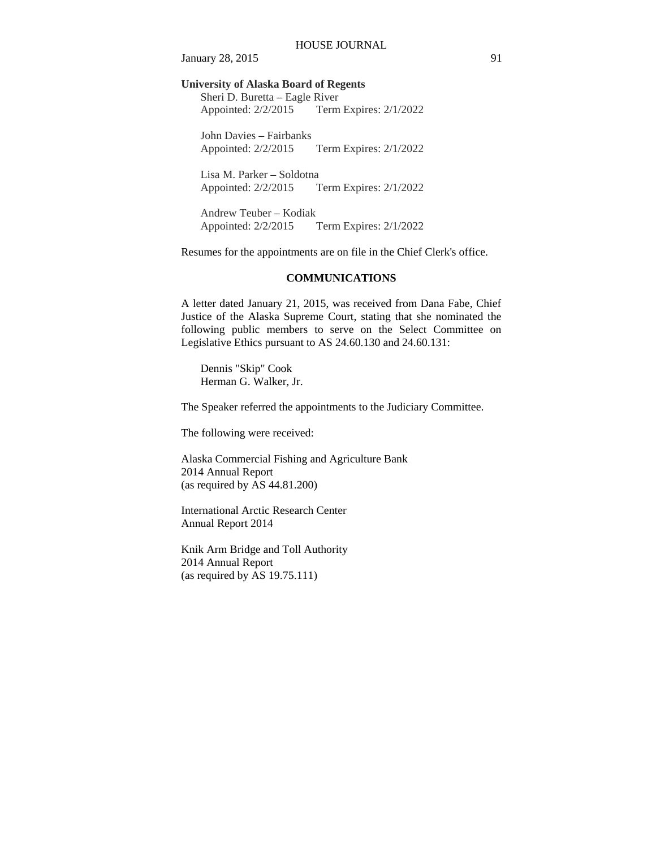January 28, 2015 91

**University of Alaska Board of Regents** 

Sheri D. Buretta – Eagle River Appointed: 2/2/2015 Term Expires: 2/1/2022

John Davies – Fairbanks Appointed: 2/2/2015 Term Expires: 2/1/2022

Lisa M. Parker – Soldotna Appointed: 2/2/2015 Term Expires: 2/1/2022

Andrew Teuber – Kodiak Appointed: 2/2/2015 Term Expires: 2/1/2022

Resumes for the appointments are on file in the Chief Clerk's office.

## **COMMUNICATIONS**

A letter dated January 21, 2015, was received from Dana Fabe, Chief Justice of the Alaska Supreme Court, stating that she nominated the following public members to serve on the Select Committee on Legislative Ethics pursuant to AS 24.60.130 and 24.60.131:

Dennis "Skip" Cook Herman G. Walker, Jr.

The Speaker referred the appointments to the Judiciary Committee.

The following were received:

Alaska Commercial Fishing and Agriculture Bank 2014 Annual Report (as required by AS 44.81.200)

International Arctic Research Center Annual Report 2014

Knik Arm Bridge and Toll Authority 2014 Annual Report (as required by AS 19.75.111)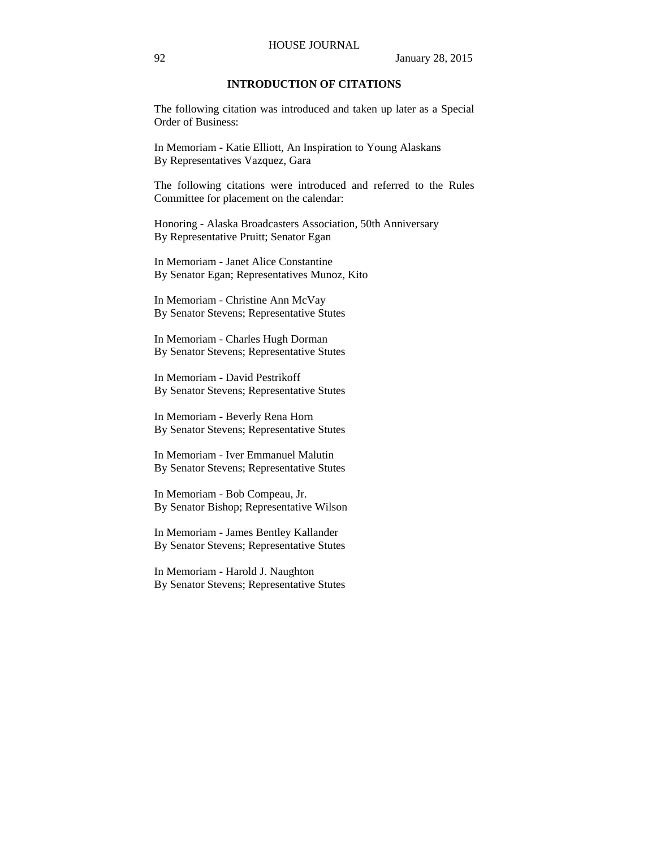## **INTRODUCTION OF CITATIONS**

The following citation was introduced and taken up later as a Special Order of Business:

In Memoriam - Katie Elliott, An Inspiration to Young Alaskans By Representatives Vazquez, Gara

The following citations were introduced and referred to the Rules Committee for placement on the calendar:

Honoring - Alaska Broadcasters Association, 50th Anniversary By Representative Pruitt; Senator Egan

In Memoriam - Janet Alice Constantine By Senator Egan; Representatives Munoz, Kito

In Memoriam - Christine Ann McVay By Senator Stevens; Representative Stutes

In Memoriam - Charles Hugh Dorman By Senator Stevens; Representative Stutes

In Memoriam - David Pestrikoff By Senator Stevens; Representative Stutes

In Memoriam - Beverly Rena Horn By Senator Stevens; Representative Stutes

In Memoriam - Iver Emmanuel Malutin By Senator Stevens; Representative Stutes

In Memoriam - Bob Compeau, Jr. By Senator Bishop; Representative Wilson

In Memoriam - James Bentley Kallander By Senator Stevens; Representative Stutes

In Memoriam - Harold J. Naughton By Senator Stevens; Representative Stutes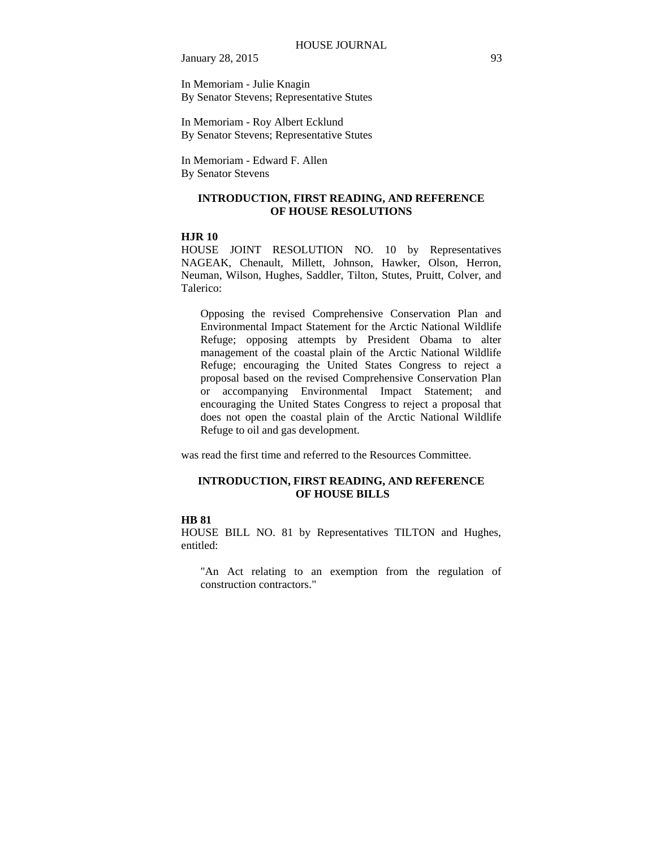January 28, 2015 93

In Memoriam - Julie Knagin By Senator Stevens; Representative Stutes

In Memoriam - Roy Albert Ecklund By Senator Stevens; Representative Stutes

In Memoriam - Edward F. Allen By Senator Stevens

#### **INTRODUCTION, FIRST READING, AND REFERENCE OF HOUSE RESOLUTIONS**

## **HJR 10**

HOUSE JOINT RESOLUTION NO. 10 by Representatives NAGEAK, Chenault, Millett, Johnson, Hawker, Olson, Herron, Neuman, Wilson, Hughes, Saddler, Tilton, Stutes, Pruitt, Colver, and Talerico:

Opposing the revised Comprehensive Conservation Plan and Environmental Impact Statement for the Arctic National Wildlife Refuge; opposing attempts by President Obama to alter management of the coastal plain of the Arctic National Wildlife Refuge; encouraging the United States Congress to reject a proposal based on the revised Comprehensive Conservation Plan or accompanying Environmental Impact Statement; and encouraging the United States Congress to reject a proposal that does not open the coastal plain of the Arctic National Wildlife Refuge to oil and gas development.

was read the first time and referred to the Resources Committee.

### **INTRODUCTION, FIRST READING, AND REFERENCE OF HOUSE BILLS**

#### **HB 81**

HOUSE BILL NO. 81 by Representatives TILTON and Hughes, entitled:

"An Act relating to an exemption from the regulation of construction contractors."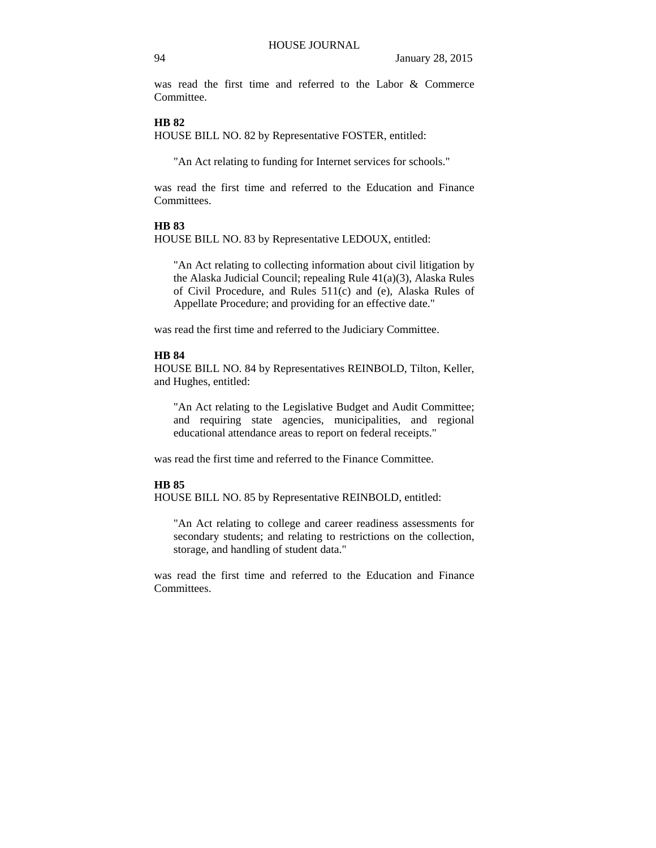was read the first time and referred to the Labor & Commerce Committee.

## **HB 82**

HOUSE BILL NO. 82 by Representative FOSTER, entitled:

"An Act relating to funding for Internet services for schools."

was read the first time and referred to the Education and Finance Committees.

#### **HB 83**

HOUSE BILL NO. 83 by Representative LEDOUX, entitled:

"An Act relating to collecting information about civil litigation by the Alaska Judicial Council; repealing Rule 41(a)(3), Alaska Rules of Civil Procedure, and Rules 511(c) and (e), Alaska Rules of Appellate Procedure; and providing for an effective date."

was read the first time and referred to the Judiciary Committee.

## **HB 84**

HOUSE BILL NO. 84 by Representatives REINBOLD, Tilton, Keller, and Hughes, entitled:

"An Act relating to the Legislative Budget and Audit Committee; and requiring state agencies, municipalities, and regional educational attendance areas to report on federal receipts."

was read the first time and referred to the Finance Committee.

## **HB 85**

HOUSE BILL NO. 85 by Representative REINBOLD, entitled:

"An Act relating to college and career readiness assessments for secondary students; and relating to restrictions on the collection, storage, and handling of student data."

was read the first time and referred to the Education and Finance Committees.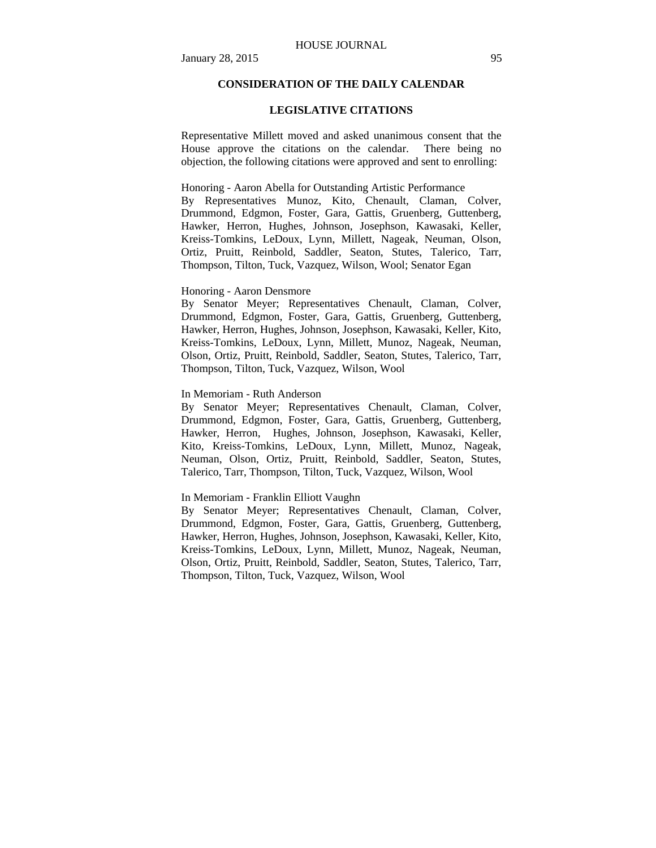## **CONSIDERATION OF THE DAILY CALENDAR**

#### **LEGISLATIVE CITATIONS**

Representative Millett moved and asked unanimous consent that the House approve the citations on the calendar. There being no objection, the following citations were approved and sent to enrolling:

#### Honoring - Aaron Abella for Outstanding Artistic Performance

By Representatives Munoz, Kito, Chenault, Claman, Colver, Drummond, Edgmon, Foster, Gara, Gattis, Gruenberg, Guttenberg, Hawker, Herron, Hughes, Johnson, Josephson, Kawasaki, Keller, Kreiss-Tomkins, LeDoux, Lynn, Millett, Nageak, Neuman, Olson, Ortiz, Pruitt, Reinbold, Saddler, Seaton, Stutes, Talerico, Tarr, Thompson, Tilton, Tuck, Vazquez, Wilson, Wool; Senator Egan

## Honoring - Aaron Densmore

By Senator Meyer; Representatives Chenault, Claman, Colver, Drummond, Edgmon, Foster, Gara, Gattis, Gruenberg, Guttenberg, Hawker, Herron, Hughes, Johnson, Josephson, Kawasaki, Keller, Kito, Kreiss-Tomkins, LeDoux, Lynn, Millett, Munoz, Nageak, Neuman, Olson, Ortiz, Pruitt, Reinbold, Saddler, Seaton, Stutes, Talerico, Tarr, Thompson, Tilton, Tuck, Vazquez, Wilson, Wool

#### In Memoriam - Ruth Anderson

By Senator Meyer; Representatives Chenault, Claman, Colver, Drummond, Edgmon, Foster, Gara, Gattis, Gruenberg, Guttenberg, Hawker, Herron, Hughes, Johnson, Josephson, Kawasaki, Keller, Kito, Kreiss-Tomkins, LeDoux, Lynn, Millett, Munoz, Nageak, Neuman, Olson, Ortiz, Pruitt, Reinbold, Saddler, Seaton, Stutes, Talerico, Tarr, Thompson, Tilton, Tuck, Vazquez, Wilson, Wool

#### In Memoriam - Franklin Elliott Vaughn

By Senator Meyer; Representatives Chenault, Claman, Colver, Drummond, Edgmon, Foster, Gara, Gattis, Gruenberg, Guttenberg, Hawker, Herron, Hughes, Johnson, Josephson, Kawasaki, Keller, Kito, Kreiss-Tomkins, LeDoux, Lynn, Millett, Munoz, Nageak, Neuman, Olson, Ortiz, Pruitt, Reinbold, Saddler, Seaton, Stutes, Talerico, Tarr, Thompson, Tilton, Tuck, Vazquez, Wilson, Wool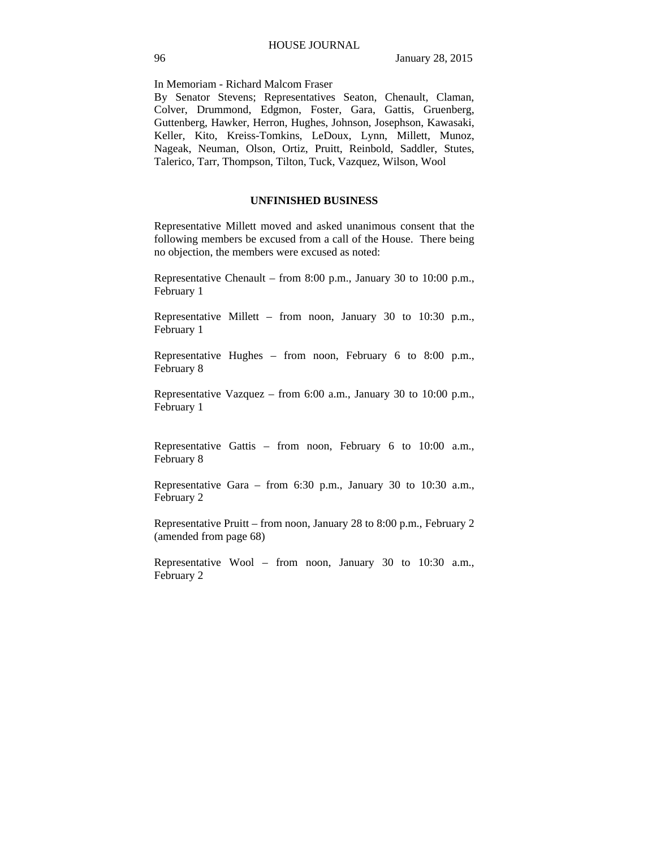In Memoriam - Richard Malcom Fraser

By Senator Stevens; Representatives Seaton, Chenault, Claman, Colver, Drummond, Edgmon, Foster, Gara, Gattis, Gruenberg, Guttenberg, Hawker, Herron, Hughes, Johnson, Josephson, Kawasaki, Keller, Kito, Kreiss-Tomkins, LeDoux, Lynn, Millett, Munoz, Nageak, Neuman, Olson, Ortiz, Pruitt, Reinbold, Saddler, Stutes, Talerico, Tarr, Thompson, Tilton, Tuck, Vazquez, Wilson, Wool

## **UNFINISHED BUSINESS**

Representative Millett moved and asked unanimous consent that the following members be excused from a call of the House. There being no objection, the members were excused as noted:

Representative Chenault – from 8:00 p.m., January 30 to 10:00 p.m., February 1

Representative Millett – from noon, January 30 to 10:30 p.m., February 1

Representative Hughes – from noon, February 6 to 8:00 p.m., February 8

Representative Vazquez – from 6:00 a.m., January 30 to 10:00 p.m., February 1

Representative Gattis – from noon, February 6 to 10:00 a.m., February 8

Representative Gara – from 6:30 p.m., January 30 to 10:30 a.m., February 2

Representative Pruitt – from noon, January 28 to 8:00 p.m., February 2 (amended from page 68)

Representative Wool – from noon, January 30 to 10:30 a.m., February 2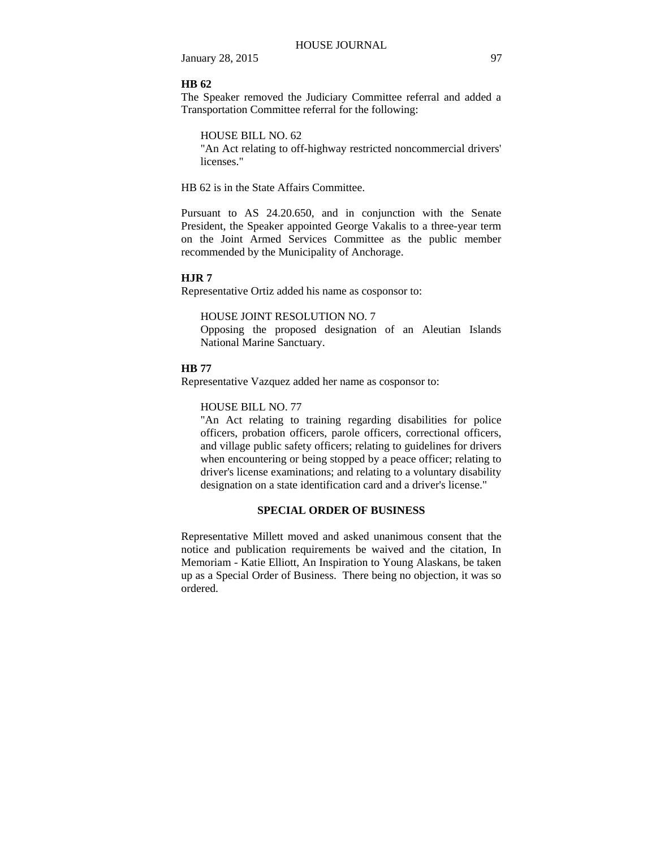January 28, 2015 97

#### **HB 62**

The Speaker removed the Judiciary Committee referral and added a Transportation Committee referral for the following:

HOUSE BILL NO. 62

"An Act relating to off-highway restricted noncommercial drivers' licenses."

HB 62 is in the State Affairs Committee.

Pursuant to AS 24.20.650, and in conjunction with the Senate President, the Speaker appointed George Vakalis to a three-year term on the Joint Armed Services Committee as the public member recommended by the Municipality of Anchorage.

#### **HJR 7**

Representative Ortiz added his name as cosponsor to:

#### HOUSE JOINT RESOLUTION NO. 7

Opposing the proposed designation of an Aleutian Islands National Marine Sanctuary.

#### **HB 77**

Representative Vazquez added her name as cosponsor to:

#### HOUSE BILL NO. 77

"An Act relating to training regarding disabilities for police officers, probation officers, parole officers, correctional officers, and village public safety officers; relating to guidelines for drivers when encountering or being stopped by a peace officer; relating to driver's license examinations; and relating to a voluntary disability designation on a state identification card and a driver's license."

## **SPECIAL ORDER OF BUSINESS**

Representative Millett moved and asked unanimous consent that the notice and publication requirements be waived and the citation, In Memoriam - Katie Elliott, An Inspiration to Young Alaskans, be taken up as a Special Order of Business. There being no objection, it was so ordered.